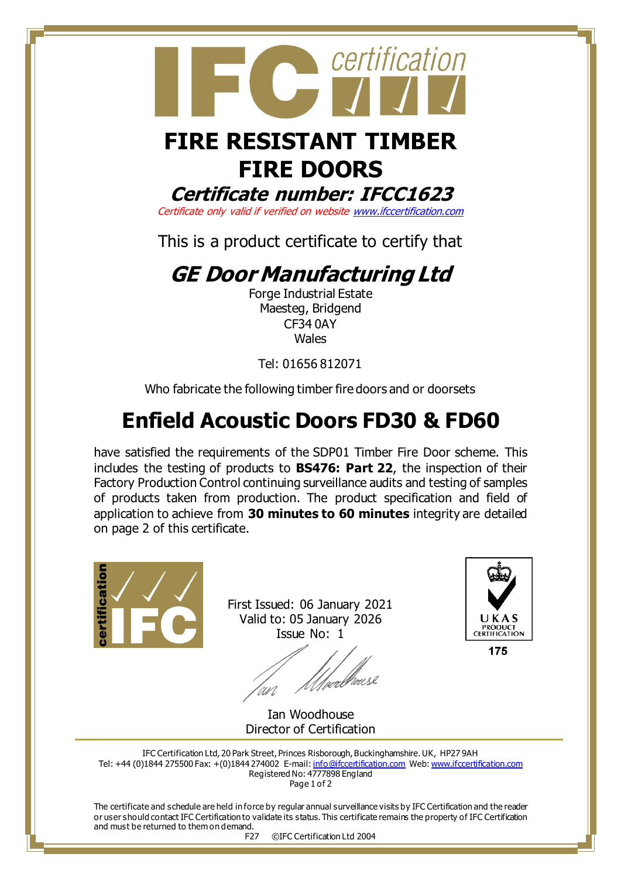

# **FIRE RESISTANT TIMBER FIRE DOORS**

#### **Certificate number: IFCC1623**

Certificate only valid if verified on websit[e www.ifccertification.com](http://www.ifccertification.com/)

This is a product certificate to certify that

## **GE Door Manufacturing Ltd**

Forge Industrial Estate Maesteg, Bridgend CF34 0AY Wales

Tel: 01656 812071

Who fabricate the following timber fire doors and or doorsets

## **Enfield Acoustic Doors FD30 & FD60**

have satisfied the requirements of the SDP01 Timber Fire Door scheme. This includes the testing of products to **BS476: Part 22**, the inspection of their Factory Production Control continuing surveillance audits and testing of samples of products taken from production. The product specification and field of application to achieve from **30 minutes to 60 minutes** integrity are detailed on page 2 of this certificate.



First Issued: 06 January 2021 Valid to: 05 January 2026 Issue No: 1

*Uverbrous*e 'wi



175

Ian Woodhouse Director of Certification

IFC Certification Ltd, 20 Park Street, Princes Risborough, Buckinghamshire. UK, HP27 9AH Tel: +44 (0)1844 275500 Fax: +(0)1844 274002 E-mail[: info@ifccertification.com](mailto:info@ifccertification.com) Web[: www.ifccertification.com](http://www.ifccertification.com/) Registered No: 4777898 England Page 1 of 2

The certificate and schedule are held in force by regular annual surveillance visits by IFC Certification and the reader or user should contact IFC Certification to validate its status. This certificate remains the property of IFC Certification and must be returned to them on demand.

F27 ©IFC Certification Ltd 2004